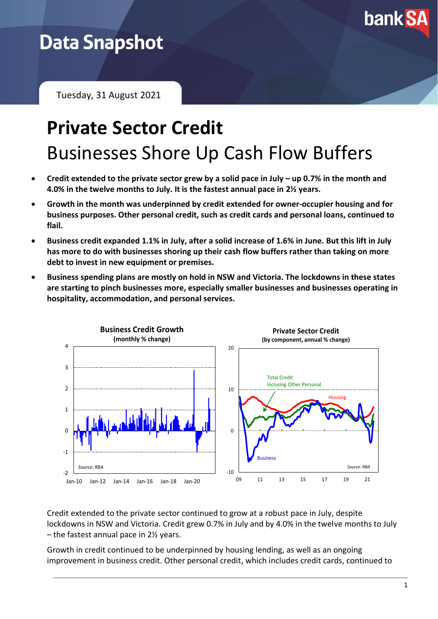

# **Data Snapshot**

Tuesday, 31 August 2021

# **Private Sector Credit** Businesses Shore Up Cash Flow Buffers

- **Credit extended to the private sector grew by a solid pace in July – up 0.7% in the month and 4.0% in the twelve months to July. It is the fastest annual pace in 2½ years.**
- **Growth in the month was underpinned by credit extended for owner-occupier housing and for business purposes. Other personal credit, such as credit cards and personal loans, continued to flail.**
- **Business credit expanded 1.1% in July, after a solid increase of 1.6% in June. But this lift in July has more to do with businesses shoring up their cash flow buffers rather than taking on more debt to invest in new equipment or premises.**
- **Business spending plans are mostly on hold in NSW and Victoria. The lockdowns in these states are starting to pinch businesses more, especially smaller businesses and businesses operating in hospitality, accommodation, and personal services.**



Credit extended to the private sector continued to grow at a robust pace in July, despite lockdowns in NSW and Victoria. Credit grew 0.7% in July and by 4.0% in the twelve months to July – the fastest annual pace in 2½ years.

Growth in credit continued to be underpinned by housing lending, as well as an ongoing improvement in business credit. Other personal credit, which includes credit cards, continued to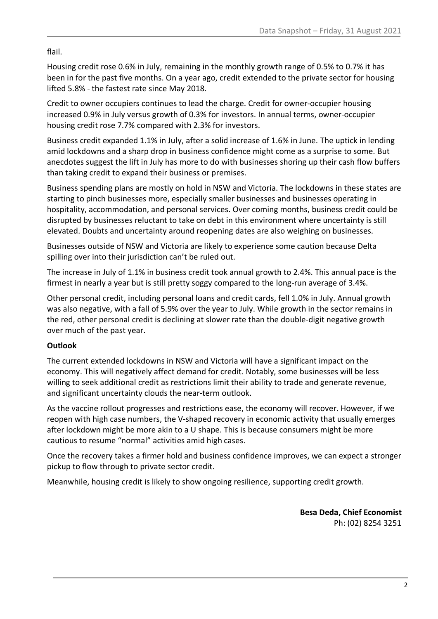flail.

Housing credit rose 0.6% in July, remaining in the monthly growth range of 0.5% to 0.7% it has been in for the past five months. On a year ago, credit extended to the private sector for housing lifted 5.8% - the fastest rate since May 2018.

Credit to owner occupiers continues to lead the charge. Credit for owner-occupier housing increased 0.9% in July versus growth of 0.3% for investors. In annual terms, owner-occupier housing credit rose 7.7% compared with 2.3% for investors.

Business credit expanded 1.1% in July, after a solid increase of 1.6% in June. The uptick in lending amid lockdowns and a sharp drop in business confidence might come as a surprise to some. But anecdotes suggest the lift in July has more to do with businesses shoring up their cash flow buffers than taking credit to expand their business or premises.

Business spending plans are mostly on hold in NSW and Victoria. The lockdowns in these states are starting to pinch businesses more, especially smaller businesses and businesses operating in hospitality, accommodation, and personal services. Over coming months, business credit could be disrupted by businesses reluctant to take on debt in this environment where uncertainty is still elevated. Doubts and uncertainty around reopening dates are also weighing on businesses.

Businesses outside of NSW and Victoria are likely to experience some caution because Delta spilling over into their jurisdiction can't be ruled out.

The increase in July of 1.1% in business credit took annual growth to 2.4%. This annual pace is the firmest in nearly a year but is still pretty soggy compared to the long-run average of 3.4%.

Other personal credit, including personal loans and credit cards, fell 1.0% in July. Annual growth was also negative, with a fall of 5.9% over the year to July. While growth in the sector remains in the red, other personal credit is declining at slower rate than the double-digit negative growth over much of the past year.

## **Outlook**

The current extended lockdowns in NSW and Victoria will have a significant impact on the economy. This will negatively affect demand for credit. Notably, some businesses will be less willing to seek additional credit as restrictions limit their ability to trade and generate revenue, and significant uncertainty clouds the near-term outlook.

As the vaccine rollout progresses and restrictions ease, the economy will recover. However, if we reopen with high case numbers, the V-shaped recovery in economic activity that usually emerges after lockdown might be more akin to a U shape. This is because consumers might be more cautious to resume "normal" activities amid high cases.

Once the recovery takes a firmer hold and business confidence improves, we can expect a stronger pickup to flow through to private sector credit.

Meanwhile, housing credit is likely to show ongoing resilience, supporting credit growth.

**Besa Deda, Chief Economist** Ph: (02) 8254 3251